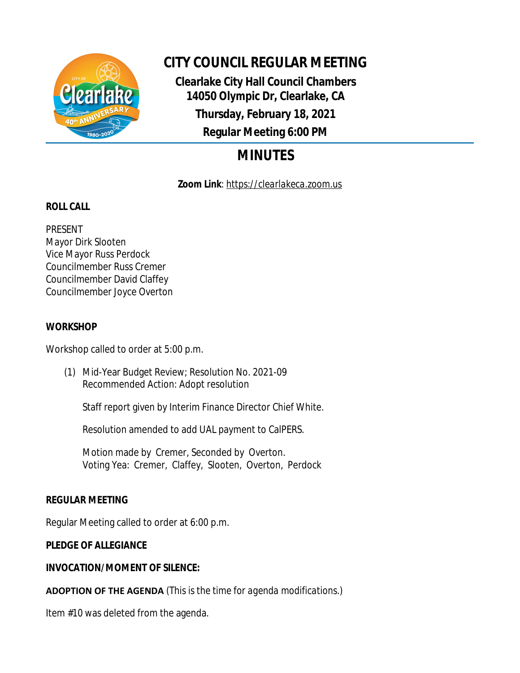

# **CITY COUNCIL REGULAR MEETING**

**Clearlake City Hall Council Chambers 14050 Olympic Dr, Clearlake, CA Thursday, February 18, 2021 Regular Meeting 6:00 PM**

# **MINUTES**

**Zoom Link**: *https://clearlakeca.zoom.us*

## **ROLL CALL**

PRESENT Mayor Dirk Slooten Vice Mayor Russ Perdock Councilmember Russ Cremer Councilmember David Claffey Councilmember Joyce Overton

## **WORKSHOP**

Workshop called to order at 5:00 p.m.

(1) Mid-Year Budget Review; Resolution No. 2021-09 Recommended Action: Adopt resolution

Staff report given by Interim Finance Director Chief White.

Resolution amended to add UAL payment to CalPERS.

Motion made by Cremer, Seconded by Overton. Voting Yea: Cremer, Claffey, Slooten, Overton, Perdock

## **REGULAR MEETING**

Regular Meeting called to order at 6:00 p.m.

### **PLEDGE OF ALLEGIANCE**

## **INVOCATION/MOMENT OF SILENCE:**

**ADOPTION OF THE AGENDA** *(This is the time for agenda modifications.)*

Item #10 was deleted from the agenda.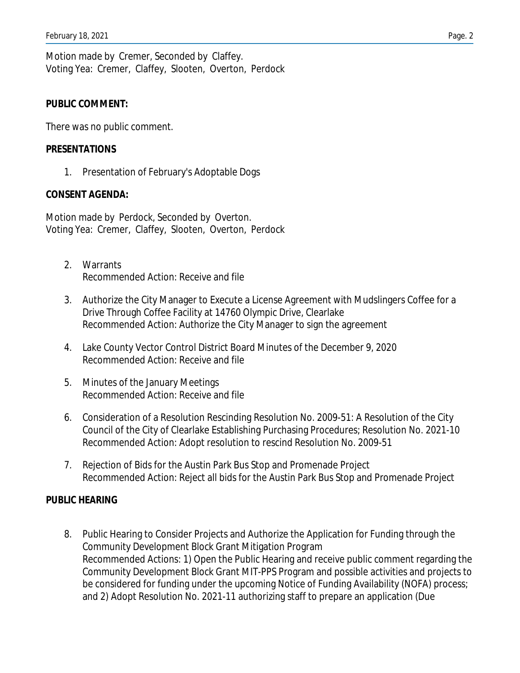Motion made by Cremer, Seconded by Claffey. Voting Yea: Cremer, Claffey, Slooten, Overton, Perdock

#### **PUBLIC COMMENT:**

There was no public comment.

#### **PRESENTATIONS**

1. Presentation of February's Adoptable Dogs

#### **CONSENT AGENDA:**

Motion made by Perdock, Seconded by Overton. Voting Yea: Cremer, Claffey, Slooten, Overton, Perdock

- 2. Warrants Recommended Action: Receive and file
- 3. Authorize the City Manager to Execute a License Agreement with Mudslingers Coffee for a Drive Through Coffee Facility at 14760 Olympic Drive, Clearlake Recommended Action: Authorize the City Manager to sign the agreement
- 4. Lake County Vector Control District Board Minutes of the December 9, 2020 Recommended Action: Receive and file
- 5. Minutes of the January Meetings Recommended Action: Receive and file
- 6. Consideration of a Resolution Rescinding Resolution No. 2009-51: A Resolution of the City Council of the City of Clearlake Establishing Purchasing Procedures; Resolution No. 2021-10 Recommended Action: Adopt resolution to rescind Resolution No. 2009-51
- 7. Rejection of Bids for the Austin Park Bus Stop and Promenade Project Recommended Action: Reject all bids for the Austin Park Bus Stop and Promenade Project

#### **PUBLIC HEARING**

8. Public Hearing to Consider Projects and Authorize the Application for Funding through the Community Development Block Grant Mitigation Program Recommended Actions: 1) Open the Public Hearing and receive public comment regarding the Community Development Block Grant MIT-PPS Program and possible activities and projects to be considered for funding under the upcoming Notice of Funding Availability (NOFA) process; and 2) Adopt Resolution No. 2021-11 authorizing staff to prepare an application (Due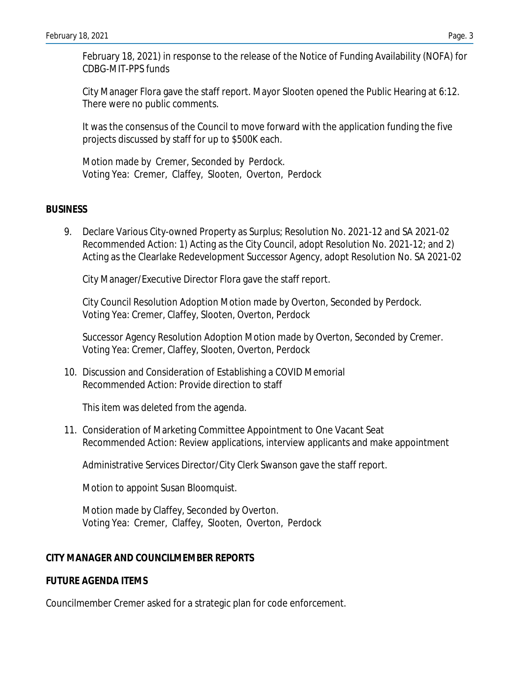February 18, 2021) in response to the release of the Notice of Funding Availability (NOFA) for CDBG-MIT-PPS funds

City Manager Flora gave the staff report. Mayor Slooten opened the Public Hearing at 6:12. There were no public comments.

It was the consensus of the Council to move forward with the application funding the five projects discussed by staff for up to \$500K each.

Motion made by Cremer, Seconded by Perdock. Voting Yea: Cremer, Claffey, Slooten, Overton, Perdock

#### **BUSINESS**

9. Declare Various City-owned Property as Surplus; Resolution No. 2021-12 and SA 2021-02 Recommended Action: 1) Acting as the City Council, adopt Resolution No. 2021-12; and 2) Acting as the Clearlake Redevelopment Successor Agency, adopt Resolution No. SA 2021-02

City Manager/Executive Director Flora gave the staff report.

City Council Resolution Adoption Motion made by Overton, Seconded by Perdock. Voting Yea: Cremer, Claffey, Slooten, Overton, Perdock

Successor Agency Resolution Adoption Motion made by Overton, Seconded by Cremer. Voting Yea: Cremer, Claffey, Slooten, Overton, Perdock

10. Discussion and Consideration of Establishing a COVID Memorial Recommended Action: Provide direction to staff

This item was deleted from the agenda.

11. Consideration of Marketing Committee Appointment to One Vacant Seat Recommended Action: Review applications, interview applicants and make appointment

Administrative Services Director/City Clerk Swanson gave the staff report.

Motion to appoint Susan Bloomquist.

Motion made by Claffey, Seconded by Overton. Voting Yea: Cremer, Claffey, Slooten, Overton, Perdock

### **CITY MANAGER AND COUNCILMEMBER REPORTS**

#### **FUTURE AGENDA ITEMS**

Councilmember Cremer asked for a strategic plan for code enforcement.